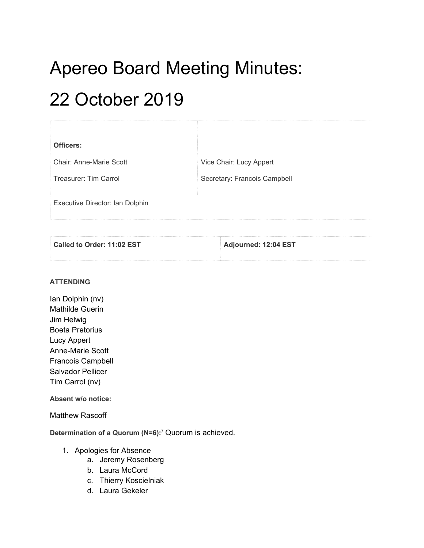# Apereo Board Meeting Minutes:

# 22 October 2019

| Officers:                       |                              |
|---------------------------------|------------------------------|
| <b>Chair: Anne-Marie Scott</b>  | Vice Chair: Lucy Appert      |
| Treasurer: Tim Carrol           | Secretary: Francois Campbell |
| Executive Director: Ian Dolphin |                              |

| Called to Order: 11:02 EST | Adjourned: 12:04 EST |
|----------------------------|----------------------|
|                            |                      |

### **ATTENDING**

Ian Dolphin (nv) Mathilde Guerin Jim Helwig Boeta Pretorius Lucy Appert Anne-Marie Scott Francois Campbell Salvador Pellicer Tim Carrol (nv)

**Absent w/o notice:**

### Matthew Rascoff

**Determination of a Quorum (N=6): <sup>7</sup>** Quorum is achieved.

- 1. Apologies for Absence
	- a. Jeremy Rosenberg
	- b. Laura McCord
	- c. Thierry Koscielniak
	- d. Laura Gekeler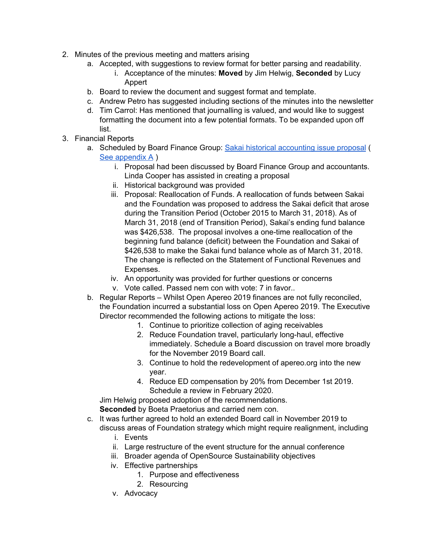- 2. Minutes of the previous meeting and matters arising
	- a. Accepted, with suggestions to review format for better parsing and readability.
		- i. Acceptance of the minutes: **Moved** by Jim Helwig, **Seconded** by Lucy Appert
	- b. Board to review the document and suggest format and template.
	- c. Andrew Petro has suggested including sections of the minutes into the newsletter
	- d. Tim Carrol: Has mentioned that journalling is valued, and would like to suggest formatting the document into a few potential formats. To be expanded upon off list.
- 3. Financial Reports
	- a. Scheduled by Board Finance Group: Sakai historical [accounting](#page-4-0) issue proposal ( See [appendix](#page-4-0) A )
		- i. Proposal had been discussed by Board Finance Group and accountants. Linda Cooper has assisted in creating a proposal
		- ii. Historical background was provided
		- iii. Proposal: Reallocation of Funds. A reallocation of funds between Sakai and the Foundation was proposed to address the Sakai deficit that arose during the Transition Period (October 2015 to March 31, 2018). As of March 31, 2018 (end of Transition Period), Sakai's ending fund balance was \$426,538. The proposal involves a one-time reallocation of the beginning fund balance (deficit) between the Foundation and Sakai of \$426,538 to make the Sakai fund balance whole as of March 31, 2018. The change is reflected on the Statement of Functional Revenues and Expenses.
		- iv. An opportunity was provided for further questions or concerns
		- v. Vote called. Passed nem con with vote: 7 in favor..
	- b. Regular Reports Whilst Open Apereo 2019 finances are not fully reconciled, the Foundation incurred a substantial loss on Open Apereo 2019. The Executive Director recommended the following actions to mitigate the loss:
		- 1. Continue to prioritize collection of aging receivables
		- 2. Reduce Foundation travel, particularly long-haul, effective immediately. Schedule a Board discussion on travel more broadly for the November 2019 Board call.
		- 3. Continue to hold the redevelopment of apereo.org into the new year.
		- 4. Reduce ED compensation by 20% from December 1st 2019. Schedule a review in February 2020.

Jim Helwig proposed adoption of the recommendations. **Seconded** by Boeta Praetorius and carried nem con.

- c. It was further agreed to hold an extended Board call in November 2019 to discuss areas of Foundation strategy which might require realignment, including
	- i. Events
	- ii. Large restructure of the event structure for the annual conference
	- iii. Broader agenda of OpenSource Sustainability objectives
	- iv. Effective partnerships
		- 1. Purpose and effectiveness
		- 2. Resourcing
	- v. Advocacy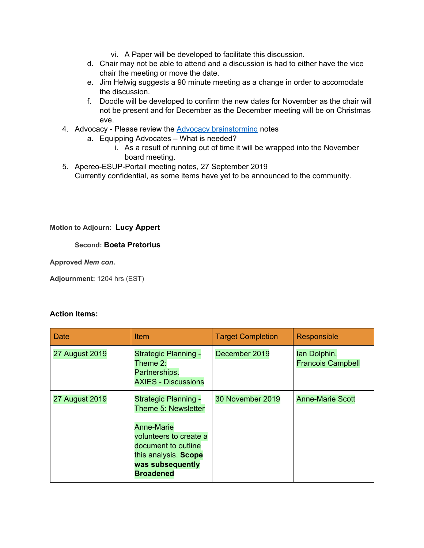- vi. A Paper will be developed to facilitate this discussion.
- d. Chair may not be able to attend and a discussion is had to either have the vice chair the meeting or move the date.
- e. Jim Helwig suggests a 90 minute meeting as a change in order to accomodate the discussion.
- f. Doodle will be developed to confirm the new dates for November as the chair will not be present and for December as the December meeting will be on Christmas eve.
- 4. Advocacy Please review the **Advocacy [brainstorming](https://docs.google.com/document/d/1CrdpGM5LYRReDxPIqhPiiGsA39HmtGhcOgZ1fTUTR6w/edit#heading=h.8yewsk3518cg)** notes
	- a. Equipping Advocates What is needed?
		- i. As a result of running out of time it will be wrapped into the November board meeting.
- 5. Apereo-ESUP-Portail meeting notes, 27 September 2019 Currently confidential, as some items have yet to be announced to the community.

#### **Motion to Adjourn: Lucy Appert**

#### **Second: Boeta Pretorius**

**Approved** *Nem con***.**

**Adjournment:** 1204 hrs (EST)

#### **Action Items:**

| Date                  | <b>Item</b>                                                                                                                                                                              | <b>Target Completion</b> | Responsible                              |
|-----------------------|------------------------------------------------------------------------------------------------------------------------------------------------------------------------------------------|--------------------------|------------------------------------------|
| <b>27 August 2019</b> | <b>Strategic Planning -</b><br>Theme $2$ :<br>Partnerships.<br><b>AXIES - Discussions</b>                                                                                                | December 2019            | lan Dolphin,<br><b>Francois Campbell</b> |
| <b>27 August 2019</b> | <b>Strategic Planning -</b><br>Theme 5: Newsletter<br><b>Anne-Marie</b><br>volunteers to create a<br>document to outline<br>this analysis. Scope<br>was subsequently<br><b>Broadened</b> | 30 November 2019         | <b>Anne-Marie Scott</b>                  |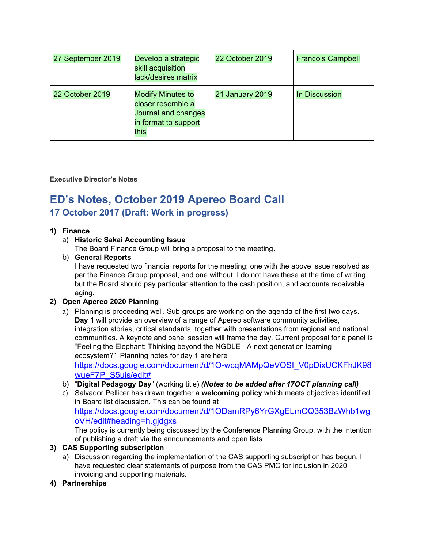| 27 September 2019 | Develop a strategic<br>skill acquisition<br>lack/desires matrix                                      | 22 October 2019 | <b>Francois Campbell</b> |
|-------------------|------------------------------------------------------------------------------------------------------|-----------------|--------------------------|
| 22 October 2019   | <b>Modify Minutes to</b><br>closer resemble a<br>Journal and changes<br>in format to support<br>this | 21 January 2019 | <b>In Discussion</b>     |

### **Executive Director's Notes**

# **ED's Notes, October 2019 Apereo Board Call 17 October 2017 (Draft: Work in progress)**

### <span id="page-3-0"></span>**1) Finance**

# a) **Historic Sakai Accounting Issue**

The Board Finance Group will bring a proposal to the meeting.

## b) **General Reports**

I have requested two financial reports for the meeting; one with the above issue resolved as per the Finance Group proposal, and one without. I do not have these at the time of writing, but the Board should pay particular attention to the cash position, and accounts receivable aging.

# **2) Open Apereo 2020 Planning**

a) Planning is proceeding well. Sub-groups are working on the agenda of the first two days. **Day 1** will provide an overview of a range of Apereo software community activities, integration stories, critical standards, together with presentations from regional and national communities. A keynote and panel session will frame the day. Current proposal for a panel is "Feeling the Elephant: Thinking beyond the NGDLE - A next generation learning ecosystem?". Planning notes for day 1 are here

[https://docs.google.com/document/d/1O-wcqMAMpQeVOSI\\_V0pDixUCKFhJK98](https://docs.google.com/document/d/1O-wcqMAMpQeVOSI_V0pDixUCKFhJK98wueF7P_S5uis/edit#) [wueF7P\\_S5uis/edit#](https://docs.google.com/document/d/1O-wcqMAMpQeVOSI_V0pDixUCKFhJK98wueF7P_S5uis/edit#)

- b) "**Digital Pedagogy Day**" (working title) *(Notes to be added after 17OCT planning call)*
- c) Salvador Pellicer has drawn together a **welcoming policy** which meets objectives identified in Board list discussion. This can be found at [https://docs.google.com/document/d/1ODamRPy6YrGXgELmOQ353BzWhb1wg](#page-3-0) [oVH/edit#heading=h.gjdgxs](#page-3-0) The policy is currently being discussed by the Conference Planning Group, with the intention

of publishing a draft via the announcements and open lists.

# **3) CAS Supporting subscription**

- a) Discussion regarding the implementation of the CAS supporting subscription has begun. I have requested clear statements of purpose from the CAS PMC for inclusion in 2020 invoicing and supporting materials.
- **4) Partnerships**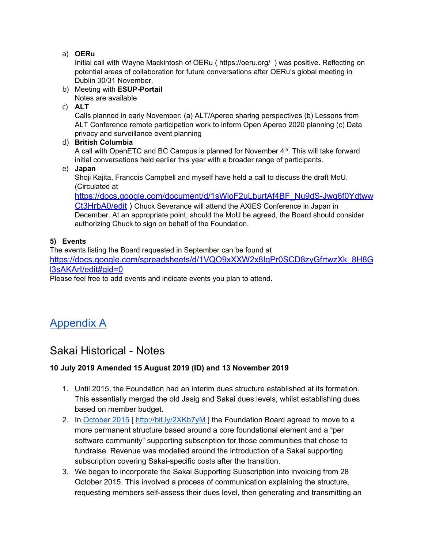## a) **OERu**

Initial call with Wayne Mackintosh of OERu ( https://oeru.org/ ) was positive. Reflecting on potential areas of collaboration for future conversations after OERu's global meeting in Dublin 30/31 November.

b) Meeting with **ESUP-Portail** Notes are available

c) **ALT**

Calls planned in early November: (a) ALT/Apereo sharing perspectives (b) Lessons from ALT Conference remote participation work to inform Open Apereo 2020 planning (c) Data privacy and surveillance event planning

### d) **British Columbia**

A call with OpenETC and BC Campus is planned for November 4<sup>th</sup>. This will take forward initial conversations held earlier this year with a broader range of participants.

e) **Japan**

Shoji Kajita, Francois Campbell and myself have held a call to discuss the draft MoU. (Circulated at

[https://docs.google.com/document/d/1sWioF2uLburtAf4BF\\_Nu9dS-Jwq6f0Ydtww](https://docs.google.com/document/d/1sWioF2uLburtAf4BF_Nu9dS-Jwq6f0YdtwwCt3HrbA0/edit) [Ct3HrbA0/edit](https://docs.google.com/document/d/1sWioF2uLburtAf4BF_Nu9dS-Jwq6f0YdtwwCt3HrbA0/edit) ) Chuck Severance will attend the AXIES Conference in Japan in December. At an appropriate point, should the MoU be agreed, the Board should consider authorizing Chuck to sign on behalf of the Foundation.

# **5) Events**

The events listing the Board requested in September can be found at [https://docs.google.com/spreadsheets/d/1VQO9xXXW2x8IqPr0SCD8zyGfrtwzXk\\_8H8G](https://docs.google.com/spreadsheets/d/1VQO9xXXW2x8IqPr0SCD8zyGfrtwzXk_8H8Gl3sAKArI/edit#gid=0) [l3sAKArI/edit#gid=0](https://docs.google.com/spreadsheets/d/1VQO9xXXW2x8IqPr0SCD8zyGfrtwzXk_8H8Gl3sAKArI/edit#gid=0)

Please feel free to add events and indicate events you plan to attend.

# <span id="page-4-0"></span>[Appendix](#page-4-0) A

# Sakai Historical - Notes

# **10 July 2019 Amended 15 August 2019 (ID) and 13 November 2019**

- 1. Until 2015, the Foundation had an interim dues structure established at its formation. This essentially merged the old Jasig and Sakai dues levels, whilst establishing dues based on member budget.
- 2. In [October](http://bit.ly/2XKb7yM) 2015 [ <http://bit.ly/2XKb7yM> ] the Foundation Board agreed to move to a more permanent structure based around a core foundational element and a "per software community" supporting subscription for those communities that chose to fundraise. Revenue was modelled around the introduction of a Sakai supporting subscription covering Sakai-specific costs after the transition.
- 3. We began to incorporate the Sakai Supporting Subscription into invoicing from 28 October 2015. This involved a process of communication explaining the structure, requesting members self-assess their dues level, then generating and transmitting an